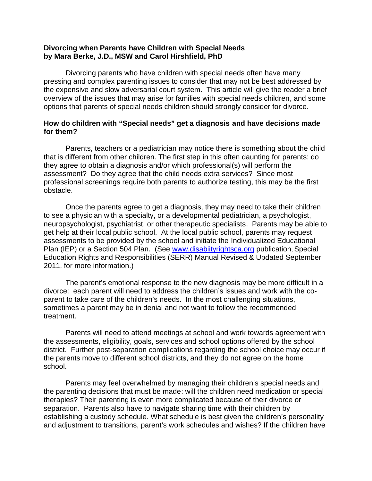#### **Divorcing when Parents have Children with Special Needs by Mara Berke, J.D., MSW and Carol Hirshfield, PhD**

Divorcing parents who have children with special needs often have many pressing and complex parenting issues to consider that may not be best addressed by the expensive and slow adversarial court system. This article will give the reader a brief overview of the issues that may arise for families with special needs children, and some options that parents of special needs children should strongly consider for divorce.

#### **How do children with "Special needs" get a diagnosis and have decisions made for them?**

Parents, teachers or a pediatrician may notice there is something about the child that is different from other children. The first step in this often daunting for parents: do they agree to obtain a diagnosis and/or which professional(s) will perform the assessment? Do they agree that the child needs extra services? Since most professional screenings require both parents to authorize testing, this may be the first obstacle.

Once the parents agree to get a diagnosis, they may need to take their children to see a physician with a specialty, or a developmental pediatrician, a psychologist, neuropsychologist, psychiatrist, or other therapeutic specialists. Parents may be able to get help at their local public school. At the local public school, parents may request assessments to be provided by the school and initiate the Individualized Educational Plan (IEP) or a Section 504 Plan. (See www.disabiityrightsca.org publication, Special Education Rights and Responsibilities (SERR) Manual Revised & Updated September 2011, for more information.)

The parent's emotional response to the new diagnosis may be more difficult in a divorce: each parent will need to address the children's issues and work with the co parent to take care of the children's needs. In the most challenging situations, sometimes a parent may be in denial and not want to follow the recommended treatment.

Parents will need to attend meetings at school and work towards agreement with the assessments, eligibility, goals, services and school options offered by the school district. Further post-separation complications regarding the school choice may occur if the parents move to different school districts, and they do not agree on the home school.

Parents may feel overwhelmed by managing their children's special needs and the parenting decisions that must be made: will the children need medication or special therapies? Their parenting is even more complicated because of their divorce or separation. Parents also have to navigate sharing time with their children by establishing a custody schedule. What schedule is best given the children's personality and adjustment to transitions, parent's work schedules and wishes? If the children have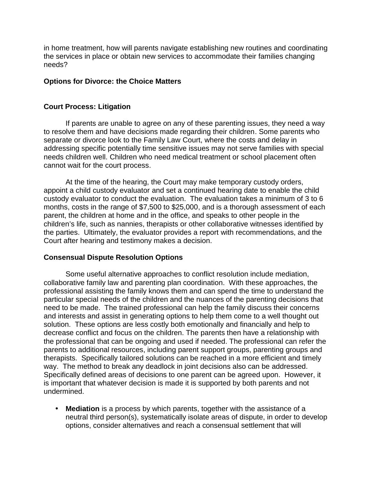in home treatment, how will parents navigate establishing new routines and coordinating the services in place or obtain new services to accommodate their families changing needs?

## **Options for Divorce: the Choice Matters**

#### **Court Process: Litigation**

If parents are unable to agree on any of these parenting issues, they need a way to resolve them and have decisions made regarding their children. Some parents who separate or divorce look to the Family Law Court, where the costs and delay in addressing specific potentially time sensitive issues may not serve families with special needs children well. Children who need medical treatment or school placement often cannot wait for the court process.

At the time of the hearing, the Court may make temporary custody orders, appoint a child custody evaluator and set a continued hearing date to enable the child custody evaluator to conduct the evaluation. The evaluation takes a minimum of 3 to 6 months, costs in the range of \$7,500 to \$25,000, and is a thorough assessment of each parent, the children at home and in the office, and speaks to other people in the children's life, such as nannies, therapists or other collaborative witnesses identified by the parties. Ultimately, the evaluator provides a report with recommendations, and the Court after hearing and testimony makes a decision.

## **Consensual Dispute Resolution Options**

Some useful alternative approaches to conflict resolution include mediation, collaborative family law and parenting plan coordination. With these approaches, the professional assisting the family knows them and can spend the time to understand the particular special needs of the children and the nuances of the parenting decisions that need to be made. The trained professional can help the family discuss their concerns and interests and assist in generating options to help them come to a well thought out solution. These options are less costly both emotionally and financially and help to decrease conflict and focus on the children. The parents then have a relationship with the professional that can be ongoing and used if needed. The professional can refer the parents to additional resources, including parent support groups, parenting groups and therapists. Specifically tailored solutions can be reached in a more efficient and timely way. The method to break any deadlock in joint decisions also can be addressed. Specifically defined areas of decisions to one parent can be agreed upon. However, it is important that whatever decision is made it is supported by both parents and not undermined.

 **Mediation** is a process by which parents, together with the assistance of a neutral third person(s), systematically isolate areas of dispute, in order to develop options, consider alternatives and reach a consensual settlement that will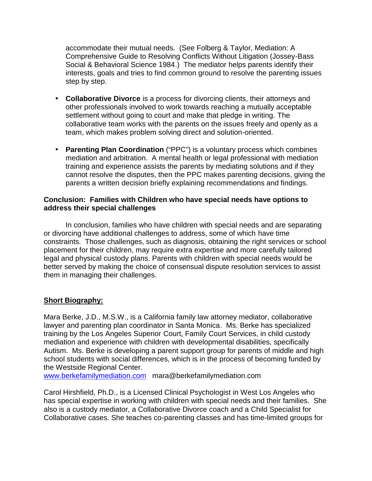accommodate their mutual needs. (See Folberg & Taylor, Mediation: A Comprehensive Guide to Resolving Conflicts Without Litigation (Jossey-Bass Social & Behavioral Science 1984.) The mediator helps parents identify their interests, goals and tries to find common ground to resolve the parenting issues step by step.

- **Collaborative Divorce** is a process for divorcing clients, their attorneys and other professionals involved to work towards reaching a mutually acceptable settlement without going to court and make that pledge in writing. The collaborative team works with the parents on the issues freely and openly as a team, which makes problem solving direct and solution-oriented.
- **Parenting Plan Coordination** ("PPC") is a voluntary process which combines mediation and arbitration. A mental health or legal professional with mediation training and experience assists the parents by mediating solutions and if they cannot resolve the disputes, then the PPC makes parenting decisions, giving the parents a written decision briefly explaining recommendations and findings.

# **Conclusion: Families with Children who have special needs have options to address their special challenges**

In conclusion, families who have children with special needs and are separating or divorcing have additional challenges to address, some of which have time constraints. Those challenges, such as diagnosis, obtaining the right services or school placement for their children, may require extra expertise and more carefully tailored legal and physical custody plans. Parents with children with special needs would be better served by making the choice of consensual dispute resolution services to assist them in managing their challenges.

# **Short Biography:**

Mara Berke, J.D., M.S.W., is a California family law attorney mediator, collaborative lawyer and parenting plan coordinator in Santa Monica. Ms. Berke has specialized training by the Los Angeles Superior Court, Family Court Services, in child custody mediation and experience with children with developmental disabilities, specifically Autism. Ms. Berke is developing a parent support group for parents of middle and high school students with social differences, which is in the process of becoming funded by the Westside Regional Center.

www.berkefamilymediation.com mara@berkefamilymediation.com

Carol Hirshfield, Ph.D., is a Licensed Clinical Psychologist in West Los Angeles who has special expertise in working with children with special needs and their families. She also is a custody mediator, a Collaborative Divorce coach and a Child Specialist for Collaborative cases. She teaches co-parenting classes and has time-limited groups for